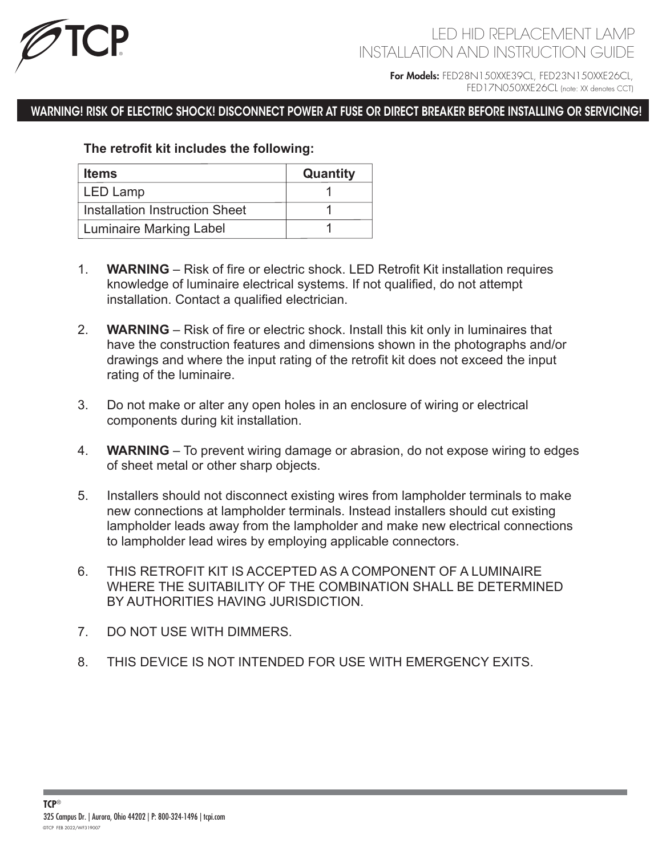

## LED HID REPLACEMENT LAMP INSTALLATION AND INSTRUCTION GUIDE

For Models: FED28N150XXE39CL, FED23N150XXE26CL, FED17N050XXE26CL (note: XX denotes CCT)

### WARNING! RISK OF ELECTRIC SHOCK! DISCONNECT POWER AT FUSE OR DIRECT BREAKER BEFORE INSTALLING OR SERVICING!

#### **The retrofit kit includes the following:**

| <b>Items</b>                   | <b>Quantity</b> |
|--------------------------------|-----------------|
| LED Lamp                       |                 |
| Installation Instruction Sheet |                 |
| <b>Luminaire Marking Label</b> |                 |

- 1. **WARNING** Risk of fire or electric shock. LED Retrofit Kit installation requires knowledge of luminaire electrical systems. If not qualified, do not attempt installation. Contact a qualified electrician.
- 2. **WARNING**  Risk of fire or electric shock. Install this kit only in luminaires that have the construction features and dimensions shown in the photographs and/or drawings and where the input rating of the retrofit kit does not exceed the input rating of the luminaire.
- 3. Do not make or alter any open holes in an enclosure of wiring or electrical components during kit installation.
- 4. **WARNING**  To prevent wiring damage or abrasion, do not expose wiring to edges of sheet metal or other sharp objects.
- 5. Installers should not disconnect existing wires from lampholder terminals to make new connections at lampholder terminals. Instead installers should cut existing lampholder leads away from the lampholder and make new electrical connections to lampholder lead wires by employing applicable connectors.
- 6. THIS RETROFIT KIT IS ACCEPTED AS A COMPONENT OF A LUMINAIRE WHERE THE SUITABILITY OF THE COMBINATION SHALL BE DETERMINED BY AUTHORITIES HAVING JURISDICTION.
- 7. DO NOT USE WITH DIMMERS.
- 8. THIS DEVICE IS NOT INTENDED FOR USE WITH EMERGENCY EXITS.